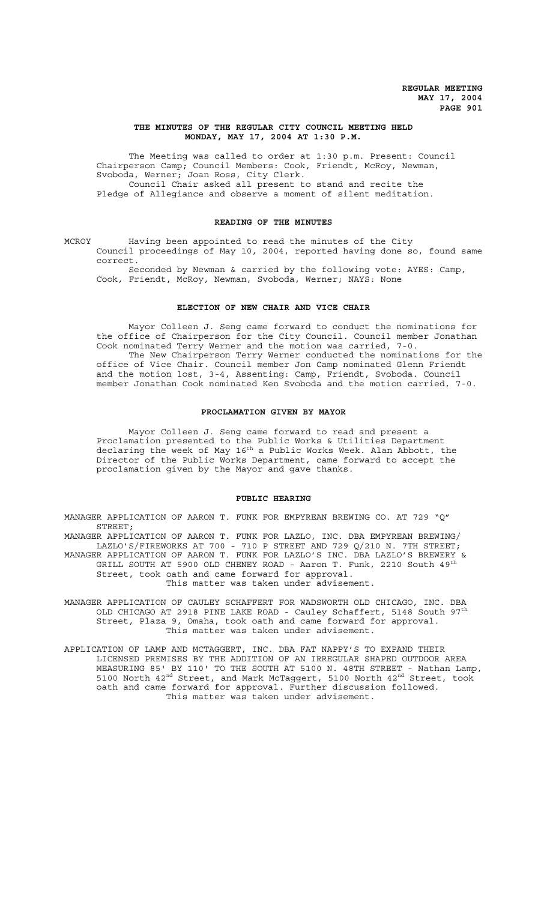## **THE MINUTES OF THE REGULAR CITY COUNCIL MEETING HELD MONDAY, MAY 17, 2004 AT 1:30 P.M.**

The Meeting was called to order at 1:30 p.m. Present: Council Chairperson Camp; Council Members: Cook, Friendt, McRoy, Newman, Svoboda, Werner; Joan Ross, City Clerk. Council Chair asked all present to stand and recite the

Pledge of Allegiance and observe a moment of silent meditation.

## **READING OF THE MINUTES**

MCROY Having been appointed to read the minutes of the City Council proceedings of May 10, 2004, reported having done so, found same correct.

Seconded by Newman & carried by the following vote: AYES: Camp, Cook, Friendt, McRoy, Newman, Svoboda, Werner; NAYS: None

# **ELECTION OF NEW CHAIR AND VICE CHAIR**

Mayor Colleen J. Seng came forward to conduct the nominations for the office of Chairperson for the City Council. Council member Jonathan Cook nominated Terry Werner and the motion was carried, 7-0. The New Chairperson Terry Werner conducted the nominations for the office of Vice Chair. Council member Jon Camp nominated Glenn Friendt and the motion lost, 3-4, Assenting: Camp, Friendt, Svoboda. Council member Jonathan Cook nominated Ken Svoboda and the motion carried, 7-0.

#### **PROCLAMATION GIVEN BY MAYOR**

Mayor Colleen J. Seng came forward to read and present a Proclamation presented to the Public Works & Utilities Department declaring the week of May 16<sup>th</sup> a Public Works Week. Alan Abbott, the Director of the Public Works Department, came forward to accept the proclamation given by the Mayor and gave thanks.

#### **PUBLIC HEARING**

MANAGER APPLICATION OF AARON T. FUNK FOR EMPYREAN BREWING CO. AT 729 "Q" STREET;

MANAGER APPLICATION OF AARON T. FUNK FOR LAZLO, INC. DBA EMPYREAN BREWING/ LAZLO'S/FIREWORKS AT 700 - 710 P STREET AND 729 Q/210 N. 7TH STREET; MANAGER APPLICATION OF AARON T. FUNK FOR LAZLO'S INC. DBA LAZLO'S BREWERY & GRILL SOUTH AT 5900 OLD CHENEY ROAD - Aaron T. Funk, 2210 South 49th Street, took oath and came forward for approval. This matter was taken under advisement.

MANAGER APPLICATION OF CAULEY SCHAFFERT FOR WADSWORTH OLD CHICAGO, INC. DBA OLD CHICAGO AT 2918 PINE LAKE ROAD - Cauley Schaffert, 5148 South 97th Street, Plaza 9, Omaha, took oath and came forward for approval. This matter was taken under advisement.

APPLICATION OF LAMP AND MCTAGGERT, INC. DBA FAT NAPPY'S TO EXPAND THEIR LICENSED PREMISES BY THE ADDITION OF AN IRREGULAR SHAPED OUTDOOR AREA MEASURING 85' BY 110' TO THE SOUTH AT 5100 N. 48TH STREET - Nathan Lamp, 5100 North 42nd Street, and Mark McTaggert, 5100 North 42nd Street, took oath and came forward for approval. Further discussion followed. This matter was taken under advisement.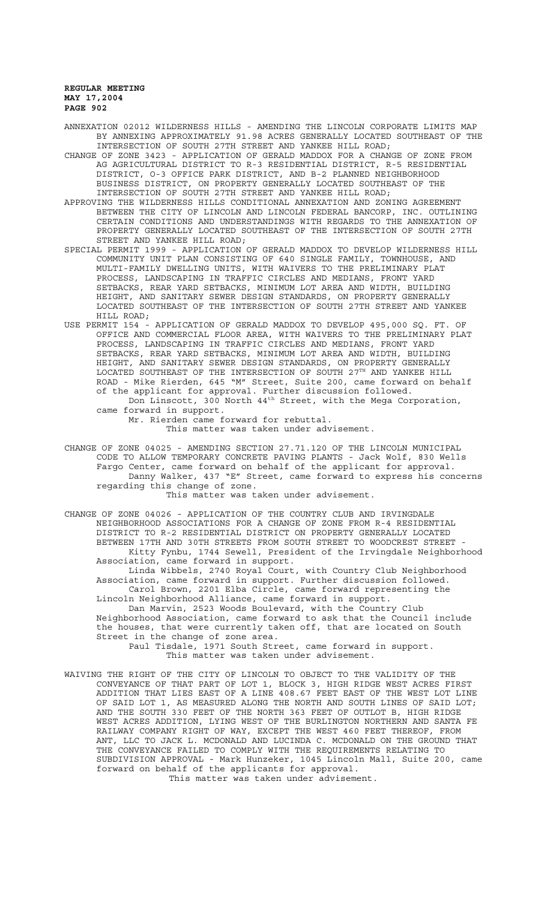- ANNEXATION 02012 WILDERNESS HILLS AMENDING THE LINCOLN CORPORATE LIMITS MAP BY ANNEXING APPROXIMATELY 91.98 ACRES GENERALLY LOCATED SOUTHEAST OF THE INTERSECTION OF SOUTH 27TH STREET AND YANKEE HILL ROAD;
- CHANGE OF ZONE 3423 APPLICATION OF GERALD MADDOX FOR A CHANGE OF ZONE FROM AG AGRICULTURAL DISTRICT TO R-3 RESIDENTIAL DISTRICT, R-5 RESIDENTIAL DISTRICT, O-3 OFFICE PARK DISTRICT, AND B-2 PLANNED NEIGHBORHOOD BUSINESS DISTRICT, ON PROPERTY GENERALLY LOCATED SOUTHEAST OF THE INTERSECTION OF SOUTH 27TH STREET AND YANKEE HILL ROAD;
- APPROVING THE WILDERNESS HILLS CONDITIONAL ANNEXATION AND ZONING AGREEMENT BETWEEN THE CITY OF LINCOLN AND LINCOLN FEDERAL BANCORP, INC. OUTLINING CERTAIN CONDITIONS AND UNDERSTANDINGS WITH REGARDS TO THE ANNEXATION OF PROPERTY GENERALLY LOCATED SOUTHEAST OF THE INTERSECTION OF SOUTH 27TH STREET AND YANKEE HILL ROAD;
- SPECIAL PERMIT 1999 APPLICATION OF GERALD MADDOX TO DEVELOP WILDERNESS HILL COMMUNITY UNIT PLAN CONSISTING OF 640 SINGLE FAMILY, TOWNHOUSE, AND MULTI-FAMILY DWELLING UNITS, WITH WAIVERS TO THE PRELIMINARY PLAT PROCESS, LANDSCAPING IN TRAFFIC CIRCLES AND MEDIANS, FRONT YARD SETBACKS, REAR YARD SETBACKS, MINIMUM LOT AREA AND WIDTH, BUILDING HEIGHT, AND SANITARY SEWER DESIGN STANDARDS, ON PROPERTY GENERALLY LOCATED SOUTHEAST OF THE INTERSECTION OF SOUTH 27TH STREET AND YANKEE HILL ROAD;
- USE PERMIT 154 APPLICATION OF GERALD MADDOX TO DEVELOP 495,000 SQ. FT. OF OFFICE AND COMMERCIAL FLOOR AREA, WITH WAIVERS TO THE PRELIMINARY PLAT PROCESS, LANDSCAPING IN TRAFFIC CIRCLES AND MEDIANS, FRONT YARD SETBACKS, REAR YARD SETBACKS, MINIMUM LOT AREA AND WIDTH, BUILDING HEIGHT, AND SANITARY SEWER DESIGN STANDARDS, ON PROPERTY GENERALLY LOCATED SOUTHEAST OF THE INTERSECTION OF SOUTH  $27^{\text{TH}}$  and YANKEE HILL ROAD - Mike Rierden, 645 "M" Street, Suite 200, came forward on behalf of the applicant for approval. Further discussion followed. Don Linscott, 300 North 44<sup>th</sup> Street, with the Mega Corporation,

came forward in support. Mr. Rierden came forward for rebuttal. This matter was taken under advisement.

CHANGE OF ZONE 04025 - AMENDING SECTION 27.71.120 OF THE LINCOLN MUNICIPAL CODE TO ALLOW TEMPORARY CONCRETE PAVING PLANTS - Jack Wolf, 830 Wells Fargo Center, came forward on behalf of the applicant for approval. Danny Walker, 437 "E" Street, came forward to express his concerns regarding this change of zone.

This matter was taken under advisement.

CHANGE OF ZONE 04026 - APPLICATION OF THE COUNTRY CLUB AND IRVINGDALE NEIGHBORHOOD ASSOCIATIONS FOR A CHANGE OF ZONE FROM R-4 RESIDENTIAL DISTRICT TO R-2 RESIDENTIAL DISTRICT ON PROPERTY GENERALLY LOCATED BETWEEN 17TH AND 30TH STREETS FROM SOUTH STREET TO WOODCREST STREET - Kitty Fynbu, 1744 Sewell, President of the Irvingdale Neighborhood Association, came forward in support.

Linda Wibbels, 2740 Royal Court, with Country Club Neighborhood Association, came forward in support. Further discussion followed. Carol Brown, 2201 Elba Circle, came forward representing the Lincoln Neighborhood Alliance, came forward in support.

 Dan Marvin, 2523 Woods Boulevard, with the Country Club Neighborhood Association, came forward to ask that the Council include the houses, that were currently taken off, that are located on South Street in the change of zone area.

Paul Tisdale, 1971 South Street, came forward in support. This matter was taken under advisement.

WAIVING THE RIGHT OF THE CITY OF LINCOLN TO OBJECT TO THE VALIDITY OF THE CONVEYANCE OF THAT PART OF LOT 1, BLOCK 3, HIGH RIDGE WEST ACRES FIRST ADDITION THAT LIES EAST OF A LINE 408.67 FEET EAST OF THE WEST LOT LINE OF SAID LOT 1, AS MEASURED ALONG THE NORTH AND SOUTH LINES OF SAID LOT; AND THE SOUTH 330 FEET OF THE NORTH 363 FEET OF OUTLOT B, HIGH RIDGE WEST ACRES ADDITION, LYING WEST OF THE BURLINGTON NORTHERN AND SANTA FE RAILWAY COMPANY RIGHT OF WAY, EXCEPT THE WEST 460 FEET THEREOF, FROM ANT, LLC TO JACK L. MCDONALD AND LUCINDA C. MCDONALD ON THE GROUND THAT THE CONVEYANCE FAILED TO COMPLY WITH THE REQUIREMENTS RELATING TO SUBDIVISION APPROVAL - Mark Hunzeker, 1045 Lincoln Mall, Suite 200, came forward on behalf of the applicants for approval. This matter was taken under advisement.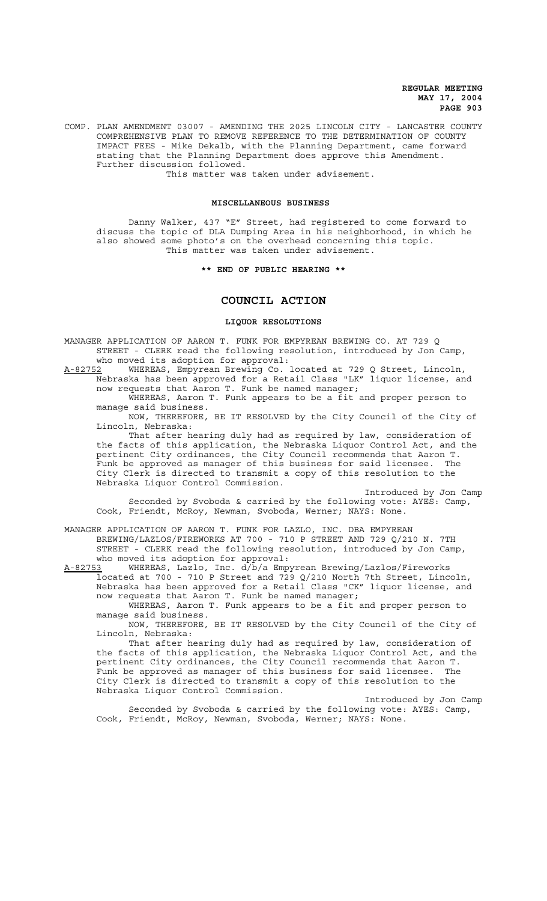COMP. PLAN AMENDMENT 03007 - AMENDING THE 2025 LINCOLN CITY - LANCASTER COUNTY COMPREHENSIVE PLAN TO REMOVE REFERENCE TO THE DETERMINATION OF COUNTY IMPACT FEES - Mike Dekalb, with the Planning Department, came forward stating that the Planning Department does approve this Amendment. Further discussion followed. This matter was taken under advisement.

#### **MISCELLANEOUS BUSINESS**

Danny Walker, 437 "E" Street, had registered to come forward to discuss the topic of DLA Dumping Area in his neighborhood, in which he also showed some photo's on the overhead concerning this topic. This matter was taken under advisement.

**\*\* END OF PUBLIC HEARING \*\***

# **COUNCIL ACTION**

## **LIQUOR RESOLUTIONS**

MANAGER APPLICATION OF AARON T. FUNK FOR EMPYREAN BREWING CO. AT 729 Q STREET - CLERK read the following resolution, introduced by Jon Camp, who moved its adoption for approval:

A-82752 WHEREAS, Empyrean Brewing Co. located at 729 Q Street, Lincoln, Nebraska has been approved for a Retail Class "LK" liquor license, and now requests that Aaron T. Funk be named manager;

WHEREAS, Aaron T. Funk appears to be a fit and proper person to manage said business.

NOW, THEREFORE, BE IT RESOLVED by the City Council of the City of Lincoln, Nebraska:

That after hearing duly had as required by law, consideration of the facts of this application, the Nebraska Liquor Control Act, and the pertinent City ordinances, the City Council recommends that Aaron T. Funk be approved as manager of this business for said licensee. The City Clerk is directed to transmit a copy of this resolution to the Nebraska Liquor Control Commission.

Introduced by Jon Camp Seconded by Svoboda & carried by the following vote: AYES: Camp, Cook, Friendt, McRoy, Newman, Svoboda, Werner; NAYS: None.

MANAGER APPLICATION OF AARON T. FUNK FOR LAZLO, INC. DBA EMPYREAN BREWING/LAZLOS/FIREWORKS AT 700 - 710 P STREET AND 729 Q/210 N. 7TH STREET - CLERK read the following resolution, introduced by Jon Camp, who moved its adoption for approval:

A-82753 WHEREAS, Lazlo, Inc. d/b/a Empyrean Brewing/Lazlos/Fireworks located at 700 - 710 P Street and 729 Q/210 North 7th Street, Lincoln, Nebraska has been approved for a Retail Class "CK" liquor license, and now requests that Aaron T. Funk be named manager;

WHEREAS, Aaron T. Funk appears to be a fit and proper person to manage said business.

NOW, THEREFORE, BE IT RESOLVED by the City Council of the City of Lincoln, Nebraska:

That after hearing duly had as required by law, consideration of the facts of this application, the Nebraska Liquor Control Act, and the pertinent City ordinances, the City Council recommends that Aaron T. Funk be approved as manager of this business for said licensee. The City Clerk is directed to transmit a copy of this resolution to the Nebraska Liquor Control Commission.

Introduced by Jon Camp Seconded by Svoboda & carried by the following vote: AYES: Camp, Cook, Friendt, McRoy, Newman, Svoboda, Werner; NAYS: None.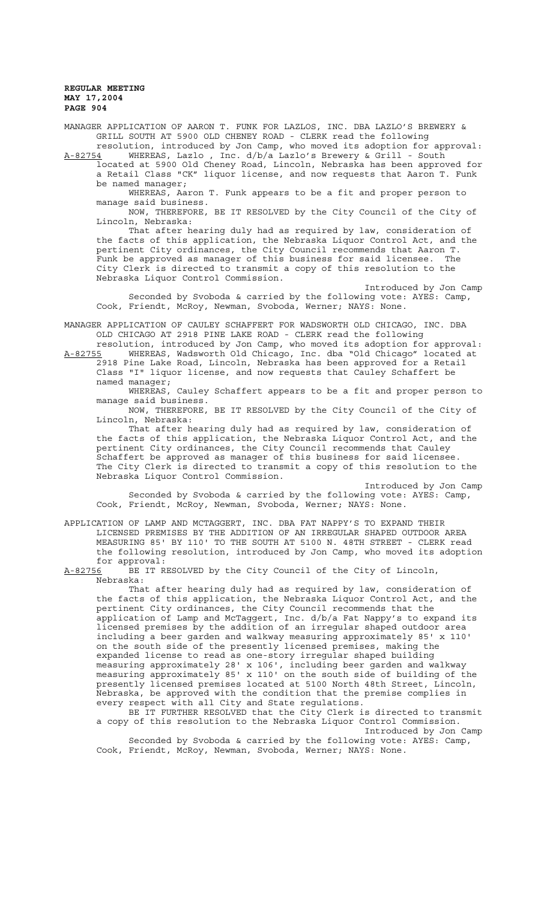MANAGER APPLICATION OF AARON T. FUNK FOR LAZLOS, INC. DBA LAZLO'S BREWERY & GRILL SOUTH AT 5900 OLD CHENEY ROAD - CLERK read the following resolution, introduced by Jon Camp, who moved its adoption for approval: A-82754 WHEREAS, Lazlo , Inc. d/b/a Lazlo's Brewery & Grill - South located at 5900 Old Cheney Road, Lincoln, Nebraska has been approved for a Retail Class "CK" liquor license, and now requests that Aaron T. Funk

be named manager; WHEREAS, Aaron T. Funk appears to be a fit and proper person to manage said business.

NOW, THEREFORE, BE IT RESOLVED by the City Council of the City of Lincoln, Nebraska:

That after hearing duly had as required by law, consideration of the facts of this application, the Nebraska Liquor Control Act, and the pertinent City ordinances, the City Council recommends that Aaron T. Funk be approved as manager of this business for said licensee. The City Clerk is directed to transmit a copy of this resolution to the Nebraska Liquor Control Commission.

Introduced by Jon Camp Seconded by Svoboda & carried by the following vote: AYES: Camp, Cook, Friendt, McRoy, Newman, Svoboda, Werner; NAYS: None.

MANAGER APPLICATION OF CAULEY SCHAFFERT FOR WADSWORTH OLD CHICAGO, INC. DBA OLD CHICAGO AT 2918 PINE LAKE ROAD - CLERK read the following

resolution, introduced by Jon Camp, who moved its adoption for approval: A-82755 WHEREAS, Wadsworth Old Chicago, Inc. dba "Old Chicago" located at 2918 Pine Lake Road, Lincoln, Nebraska has been approved for a Retail Class "I" liquor license, and now requests that Cauley Schaffert be

named manager; WHEREAS, Cauley Schaffert appears to be a fit and proper person to manage said business.

NOW, THEREFORE, BE IT RESOLVED by the City Council of the City of Lincoln, Nebraska:

That after hearing duly had as required by law, consideration of the facts of this application, the Nebraska Liquor Control Act, and the pertinent City ordinances, the City Council recommends that Cauley Schaffert be approved as manager of this business for said licensee. The City Clerk is directed to transmit a copy of this resolution to the Nebraska Liquor Control Commission.

Introduced by Jon Camp Seconded by Svoboda & carried by the following vote: AYES: Camp, Cook, Friendt, McRoy, Newman, Svoboda, Werner; NAYS: None.

APPLICATION OF LAMP AND MCTAGGERT, INC. DBA FAT NAPPY'S TO EXPAND THEIR LICENSED PREMISES BY THE ADDITION OF AN IRREGULAR SHAPED OUTDOOR AREA MEASURING 85' BY 110' TO THE SOUTH AT 5100 N. 48TH STREET - CLERK read the following resolution, introduced by Jon Camp, who moved its adoption for approval:

A-82756 BE IT RESOLVED by the City Council of the City of Lincoln, Nebraska:

That after hearing duly had as required by law, consideration of the facts of this application, the Nebraska Liquor Control Act, and the pertinent City ordinances, the City Council recommends that the application of Lamp and McTaggert, Inc. d/b/a Fat Nappy's to expand its licensed premises by the addition of an irregular shaped outdoor area including a beer garden and walkway measuring approximately 85' x 110' on the south side of the presently licensed premises, making the expanded license to read as one-story irregular shaped building measuring approximately 28' x 106', including beer garden and walkway measuring approximately 85' x 110' on the south side of building of the presently licensed premises located at 5100 North 48th Street, Lincoln, Nebraska, be approved with the condition that the premise complies in every respect with all City and State regulations.

BE IT FURTHER RESOLVED that the City Clerk is directed to transmit a copy of this resolution to the Nebraska Liquor Control Commission. Introduced by Jon Camp

Seconded by Svoboda & carried by the following vote: AYES: Camp, Cook, Friendt, McRoy, Newman, Svoboda, Werner; NAYS: None.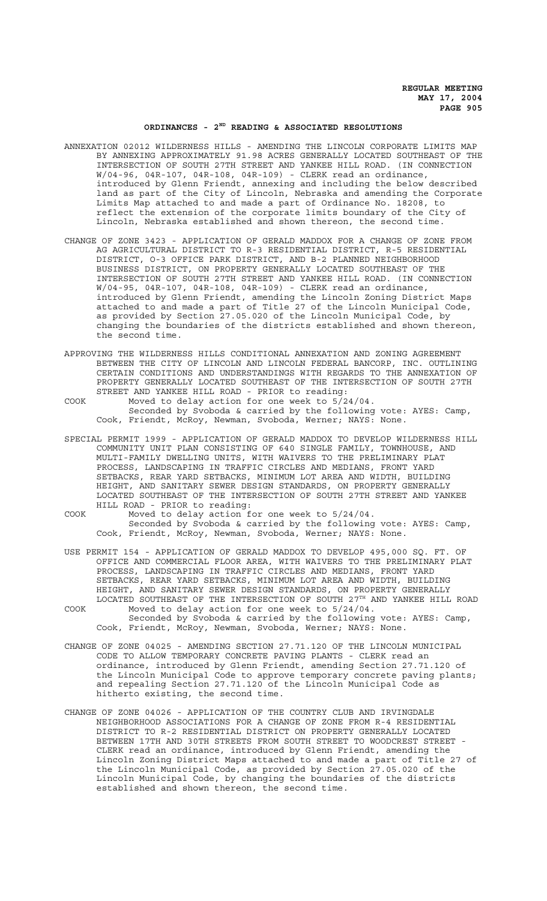## **ORDINANCES - 2ND READING & ASSOCIATED RESOLUTIONS**

- ANNEXATION 02012 WILDERNESS HILLS AMENDING THE LINCOLN CORPORATE LIMITS MAP BY ANNEXING APPROXIMATELY 91.98 ACRES GENERALLY LOCATED SOUTHEAST OF THE INTERSECTION OF SOUTH 27TH STREET AND YANKEE HILL ROAD. (IN CONNECTION W/04-96, 04R-107, 04R-108, 04R-109) - CLERK read an ordinance, introduced by Glenn Friendt, annexing and including the below described land as part of the City of Lincoln, Nebraska and amending the Corporate Limits Map attached to and made a part of Ordinance No. 18208, to reflect the extension of the corporate limits boundary of the City of Lincoln, Nebraska established and shown thereon, the second time.
- CHANGE OF ZONE 3423 APPLICATION OF GERALD MADDOX FOR A CHANGE OF ZONE FROM AG AGRICULTURAL DISTRICT TO R-3 RESIDENTIAL DISTRICT, R-5 RESIDENTIAL DISTRICT, O-3 OFFICE PARK DISTRICT, AND B-2 PLANNED NEIGHBORHOOD BUSINESS DISTRICT, ON PROPERTY GENERALLY LOCATED SOUTHEAST OF THE INTERSECTION OF SOUTH 27TH STREET AND YANKEE HILL ROAD. (IN CONNECTION W/04-95, 04R-107, 04R-108, 04R-109) - CLERK read an ordinance, introduced by Glenn Friendt, amending the Lincoln Zoning District Maps attached to and made a part of Title 27 of the Lincoln Municipal Code, as provided by Section 27.05.020 of the Lincoln Municipal Code, by changing the boundaries of the districts established and shown thereon, the second time.
- APPROVING THE WILDERNESS HILLS CONDITIONAL ANNEXATION AND ZONING AGREEMENT BETWEEN THE CITY OF LINCOLN AND LINCOLN FEDERAL BANCORP, INC. OUTLINING CERTAIN CONDITIONS AND UNDERSTANDINGS WITH REGARDS TO THE ANNEXATION OF PROPERTY GENERALLY LOCATED SOUTHEAST OF THE INTERSECTION OF SOUTH 27TH STREET AND YANKEE HILL ROAD - PRIOR to reading:
- COOK Moved to delay action for one week to 5/24/04. Seconded by Svoboda & carried by the following vote: AYES: Camp, Cook, Friendt, McRoy, Newman, Svoboda, Werner; NAYS: None.
- SPECIAL PERMIT 1999 APPLICATION OF GERALD MADDOX TO DEVELOP WILDERNESS HILL COMMUNITY UNIT PLAN CONSISTING OF 640 SINGLE FAMILY, TOWNHOUSE, AND MULTI-FAMILY DWELLING UNITS, WITH WAIVERS TO THE PRELIMINARY PLAT PROCESS, LANDSCAPING IN TRAFFIC CIRCLES AND MEDIANS, FRONT YARD SETBACKS, REAR YARD SETBACKS, MINIMUM LOT AREA AND WIDTH, BUILDING HEIGHT, AND SANITARY SEWER DESIGN STANDARDS, ON PROPERTY GENERALLY LOCATED SOUTHEAST OF THE INTERSECTION OF SOUTH 27TH STREET AND YANKEE HILL ROAD - PRIOR to reading:
- COOK Moved to delay action for one week to 5/24/04. Seconded by Svoboda & carried by the following vote: AYES: Camp, Cook, Friendt, McRoy, Newman, Svoboda, Werner; NAYS: None.
- USE PERMIT 154 APPLICATION OF GERALD MADDOX TO DEVELOP 495,000 SQ. FT. OF OFFICE AND COMMERCIAL FLOOR AREA, WITH WAIVERS TO THE PRELIMINARY PLAT PROCESS, LANDSCAPING IN TRAFFIC CIRCLES AND MEDIANS, FRONT YARD SETBACKS, REAR YARD SETBACKS, MINIMUM LOT AREA AND WIDTH, BUILDING HEIGHT, AND SANITARY SEWER DESIGN STANDARDS, ON PROPERTY GENERALLY LOCATED SOUTHEAST OF THE INTERSECTION OF SOUTH 27TH AND YANKEE HILL ROAD COOK Moved to delay action for one week to 5/24/04.
- Seconded by Svoboda & carried by the following vote: AYES: Camp, Cook, Friendt, McRoy, Newman, Svoboda, Werner; NAYS: None.
- CHANGE OF ZONE 04025 AMENDING SECTION 27.71.120 OF THE LINCOLN MUNICIPAL CODE TO ALLOW TEMPORARY CONCRETE PAVING PLANTS - CLERK read an ordinance, introduced by Glenn Friendt, amending Section 27.71.120 of the Lincoln Municipal Code to approve temporary concrete paving plants; and repealing Section 27.71.120 of the Lincoln Municipal Code as hitherto existing, the second time.
- CHANGE OF ZONE 04026 APPLICATION OF THE COUNTRY CLUB AND IRVINGDALE NEIGHBORHOOD ASSOCIATIONS FOR A CHANGE OF ZONE FROM R-4 RESIDENTIAL DISTRICT TO R-2 RESIDENTIAL DISTRICT ON PROPERTY GENERALLY LOCATED BETWEEN 17TH AND 30TH STREETS FROM SOUTH STREET TO WOODCREST STREET - CLERK read an ordinance, introduced by Glenn Friendt, amending the Lincoln Zoning District Maps attached to and made a part of Title 27 of the Lincoln Municipal Code, as provided by Section 27.05.020 of the Lincoln Municipal Code, by changing the boundaries of the districts established and shown thereon, the second time.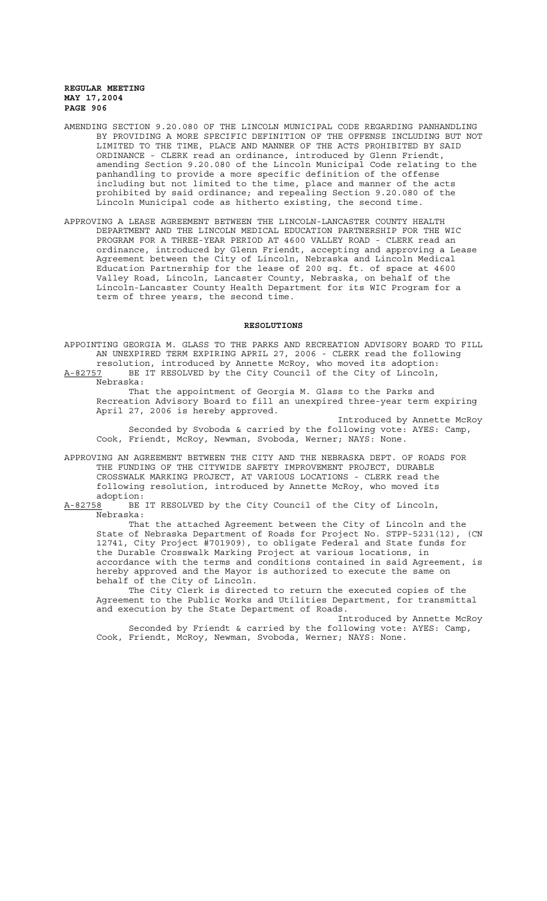- AMENDING SECTION 9.20.080 OF THE LINCOLN MUNICIPAL CODE REGARDING PANHANDLING BY PROVIDING A MORE SPECIFIC DEFINITION OF THE OFFENSE INCLUDING BUT NOT LIMITED TO THE TIME, PLACE AND MANNER OF THE ACTS PROHIBITED BY SAID ORDINANCE - CLERK read an ordinance, introduced by Glenn Friendt, amending Section 9.20.080 of the Lincoln Municipal Code relating to the panhandling to provide a more specific definition of the offense including but not limited to the time, place and manner of the acts prohibited by said ordinance; and repealing Section 9.20.080 of the Lincoln Municipal code as hitherto existing, the second time.
- APPROVING A LEASE AGREEMENT BETWEEN THE LINCOLN-LANCASTER COUNTY HEALTH DEPARTMENT AND THE LINCOLN MEDICAL EDUCATION PARTNERSHIP FOR THE WIC PROGRAM FOR A THREE-YEAR PERIOD AT 4600 VALLEY ROAD - CLERK read an ordinance, introduced by Glenn Friendt, accepting and approving a Lease Agreement between the City of Lincoln, Nebraska and Lincoln Medical Education Partnership for the lease of 200 sq. ft. of space at 4600 Valley Road, Lincoln, Lancaster County, Nebraska, on behalf of the Lincoln-Lancaster County Health Department for its WIC Program for a term of three years, the second time.

#### **RESOLUTIONS**

- APPOINTING GEORGIA M. GLASS TO THE PARKS AND RECREATION ADVISORY BOARD TO FILL AN UNEXPIRED TERM EXPIRING APRIL 27, 2006 - CLERK read the following resolution, introduced by Annette McRoy, who moved its adoption:
- A-82757 BE IT RESOLVED by the City Council of the City of Lincoln, Nebraska:

That the appointment of Georgia M. Glass to the Parks and Recreation Advisory Board to fill an unexpired three-year term expiring April 27, 2006 is hereby approved.

Introduced by Annette McRoy Seconded by Svoboda & carried by the following vote: AYES: Camp, Cook, Friendt, McRoy, Newman, Svoboda, Werner; NAYS: None.

APPROVING AN AGREEMENT BETWEEN THE CITY AND THE NEBRASKA DEPT. OF ROADS FOR THE FUNDING OF THE CITYWIDE SAFETY IMPROVEMENT PROJECT, DURABLE CROSSWALK MARKING PROJECT, AT VARIOUS LOCATIONS - CLERK read the following resolution, introduced by Annette McRoy, who moved its

adoption:<br>A-82758 BE BE IT RESOLVED by the City Council of the City of Lincoln, Nebraska:

That the attached Agreement between the City of Lincoln and the State of Nebraska Department of Roads for Project No. STPP-5231(12), (CN 12741, City Project #701909), to obligate Federal and State funds for the Durable Crosswalk Marking Project at various locations, in accordance with the terms and conditions contained in said Agreement, is hereby approved and the Mayor is authorized to execute the same on behalf of the City of Lincoln.

The City Clerk is directed to return the executed copies of the Agreement to the Public Works and Utilities Department, for transmittal and execution by the State Department of Roads.

Introduced by Annette McRoy Seconded by Friendt & carried by the following vote: AYES: Camp, Cook, Friendt, McRoy, Newman, Svoboda, Werner; NAYS: None.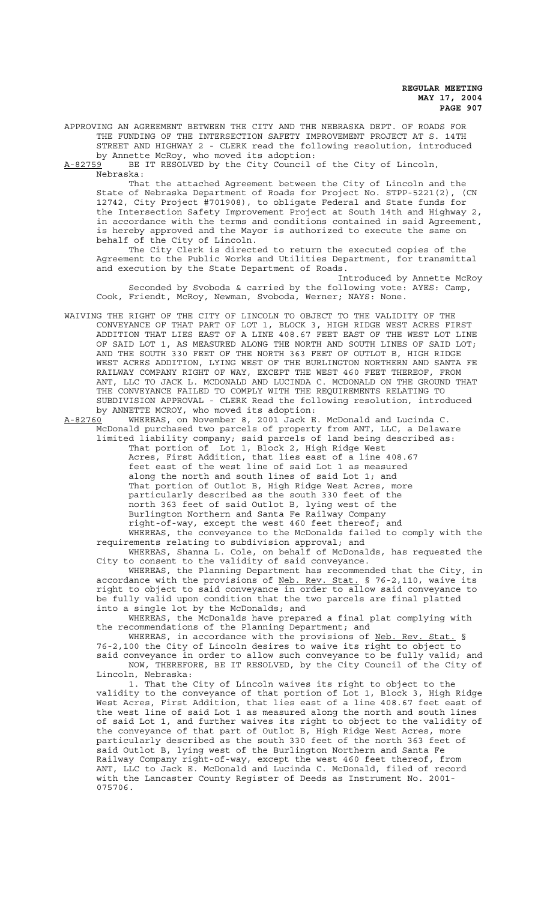APPROVING AN AGREEMENT BETWEEN THE CITY AND THE NEBRASKA DEPT. OF ROADS FOR THE FUNDING OF THE INTERSECTION SAFETY IMPROVEMENT PROJECT AT S. 14TH STREET AND HIGHWAY 2 - CLERK read the following resolution, introduced by Annette McRoy, who moved its adoption:

A-82759 BE IT RESOLVED by the City Council of the City of Lincoln, Nebraska:

That the attached Agreement between the City of Lincoln and the State of Nebraska Department of Roads for Project No. STPP-5221(2), (CN 12742, City Project #701908), to obligate Federal and State funds for the Intersection Safety Improvement Project at South 14th and Highway 2, in accordance with the terms and conditions contained in said Agreement, is hereby approved and the Mayor is authorized to execute the same on behalf of the City of Lincoln.

The City Clerk is directed to return the executed copies of the Agreement to the Public Works and Utilities Department, for transmittal and execution by the State Department of Roads.

Introduced by Annette McRoy Seconded by Svoboda & carried by the following vote: AYES: Camp, Cook, Friendt, McRoy, Newman, Svoboda, Werner; NAYS: None.

WAIVING THE RIGHT OF THE CITY OF LINCOLN TO OBJECT TO THE VALIDITY OF THE CONVEYANCE OF THAT PART OF LOT 1, BLOCK 3, HIGH RIDGE WEST ACRES FIRST ADDITION THAT LIES EAST OF A LINE 408.67 FEET EAST OF THE WEST LOT LINE OF SAID LOT 1, AS MEASURED ALONG THE NORTH AND SOUTH LINES OF SAID LOT; AND THE SOUTH 330 FEET OF THE NORTH 363 FEET OF OUTLOT B, HIGH RIDGE WEST ACRES ADDITION, LYING WEST OF THE BURLINGTON NORTHERN AND SANTA FE RAILWAY COMPANY RIGHT OF WAY, EXCEPT THE WEST 460 FEET THEREOF, FROM ANT, LLC TO JACK L. MCDONALD AND LUCINDA C. MCDONALD ON THE GROUND THAT THE CONVEYANCE FAILED TO COMPLY WITH THE REQUIREMENTS RELATING TO SUBDIVISION APPROVAL - CLERK Read the following resolution, introduced by ANNETTE MCROY, who moved its adoption:

A-82760 WHEREAS, on November 8, 2001 Jack E. McDonald and Lucinda C. McDonald purchased two parcels of property from ANT, LLC, a Delaware limited liability company; said parcels of land being described as: That portion of Lot 1, Block 2, High Ridge West Acres, First Addition, that lies east of a line 408.67 feet east of the west line of said Lot 1 as measured along the north and south lines of said Lot 1; and That portion of Outlot B, High Ridge West Acres, more particularly described as the south 330 feet of the north 363 feet of said Outlot B, lying west of the Burlington Northern and Santa Fe Railway Company right-of-way, except the west 460 feet thereof; and

WHEREAS, the conveyance to the McDonalds failed to comply with the requirements relating to subdivision approval; and WHEREAS, Shanna L. Cole, on behalf of McDonalds, has requested the

City to consent to the validity of said conveyance.

WHEREAS, the Planning Department has recommended that the City, in accordance with the provisions of Neb. Rev. Stat. § 76-2,110, waive its right to object to said conveyance in order to allow said conveyance to be fully valid upon condition that the two parcels are final platted into a single lot by the McDonalds; and

WHEREAS, the McDonalds have prepared a final plat complying with the recommendations of the Planning Department; and

WHEREAS, in accordance with the provisions of Neb. Rev. Stat. § 76-2,100 the City of Lincoln desires to waive its right to object to said conveyance in order to allow such conveyance to be fully valid; and

NOW, THEREFORE, BE IT RESOLVED, by the City Council of the City of Lincoln, Nebraska:

1. That the City of Lincoln waives its right to object to the validity to the conveyance of that portion of Lot 1, Block 3, High Ridge West Acres, First Addition, that lies east of a line 408.67 feet east of the west line of said Lot 1 as measured along the north and south lines of said Lot 1, and further waives its right to object to the validity of the conveyance of that part of Outlot B, High Ridge West Acres, more particularly described as the south 330 feet of the north 363 feet of said Outlot B, lying west of the Burlington Northern and Santa Fe Railway Company right-of-way, except the west 460 feet thereof, from ANT, LLC to Jack E. McDonald and Lucinda C. McDonald, filed of record with the Lancaster County Register of Deeds as Instrument No. 2001- 075706.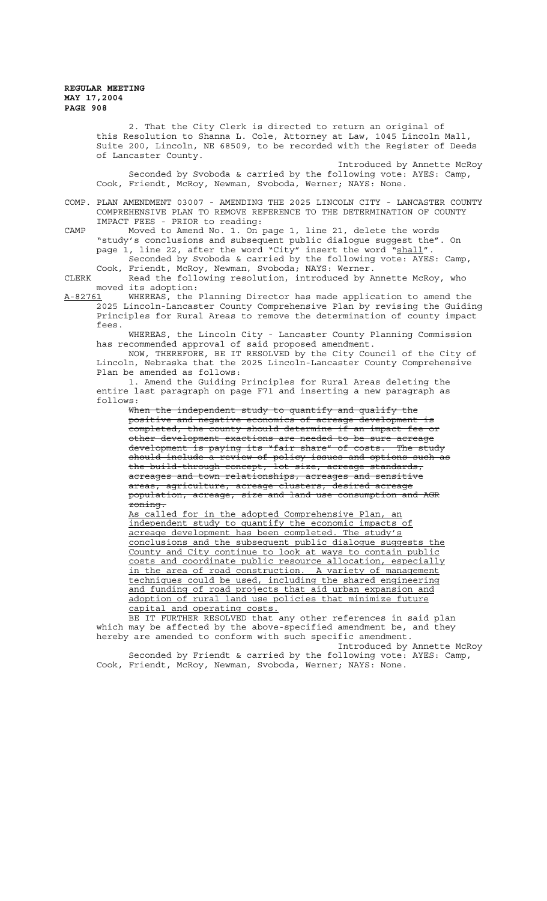2. That the City Clerk is directed to return an original of this Resolution to Shanna L. Cole, Attorney at Law, 1045 Lincoln Mall, Suite 200, Lincoln, NE 68509, to be recorded with the Register of Deeds of Lancaster County.

Introduced by Annette McRoy Seconded by Svoboda & carried by the following vote: AYES: Camp, Cook, Friendt, McRoy, Newman, Svoboda, Werner; NAYS: None.

COMP. PLAN AMENDMENT 03007 - AMENDING THE 2025 LINCOLN CITY - LANCASTER COUNTY COMPREHENSIVE PLAN TO REMOVE REFERENCE TO THE DETERMINATION OF COUNTY IMPACT FEES - PRIOR to reading:

CAMP Moved to Amend No. 1. On page 1, line 21, delete the words "study's conclusions and subsequent public dialogue suggest the". On page 1, line 22, after the word "City" insert the word "shall". Seconded by Svoboda & carried by the following vote: AYES: Camp,

Cook, Friendt, McRoy, Newman, Svoboda; NAYS: Werner.

CLERK Read the following resolution, introduced by Annette McRoy, who moved its adoption:<br>A-82761 WHEREAS, the

WHEREAS, the Planning Director has made application to amend the 2025 Lincoln-Lancaster County Comprehensive Plan by revising the Guiding Principles for Rural Areas to remove the determination of county impact fees.

WHEREAS, the Lincoln City - Lancaster County Planning Commission has recommended approval of said proposed amendment.

NOW, THEREFORE, BE IT RESOLVED by the City Council of the City of Lincoln, Nebraska that the 2025 Lincoln-Lancaster County Comprehensive Plan be amended as follows:

1. Amend the Guiding Principles for Rural Areas deleting the entire last paragraph on page F71 and inserting a new paragraph as follows:

When the independent study to quantify and qualify the positive and negative economics of acreage development is completed, the county should determine if an impact fee or other development exactions are needed to be sure acreage development is paying its "fair share" of costs. The study should include a review of policy issues and options such as the build-through concept, lot size, acreage standards, acreages and town relationships, acreages and sensitive areas, agriculture, acreage clusters, desired acreage population, acreage, size and land use consumption and AGR -<br><del>zoning.</del>

As called for in the adopted Comprehensive Plan, an independent study to quantify the economic impacts of acreage development has been completed. The study's conclusions and the subsequent public dialogue suggests the County and City continue to look at ways to contain public costs and coordinate public resource allocation, especially in the area of road construction. A variety of management techniques could be used, including the shared engineering and funding of road projects that aid urban expansion and adoption of rural land use policies that minimize future capital and operating costs.

BE IT FURTHER RESOLVED that any other references in said plan which may be affected by the above-specified amendment be, and they hereby are amended to conform with such specific amendment.

Introduced by Annette McRoy Seconded by Friendt & carried by the following vote: AYES: Camp, Cook, Friendt, McRoy, Newman, Svoboda, Werner; NAYS: None.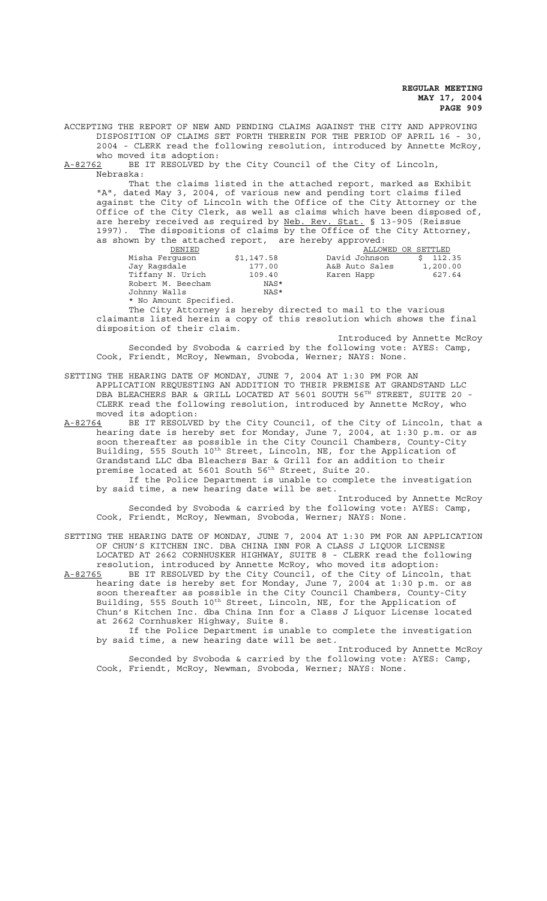ACCEPTING THE REPORT OF NEW AND PENDING CLAIMS AGAINST THE CITY AND APPROVING DISPOSITION OF CLAIMS SET FORTH THEREIN FOR THE PERIOD OF APRIL 16 - 30, 2004 - CLERK read the following resolution, introduced by Annette McRoy, who moved its adoption:

A-82762 BE IT RESOLVED by the City Council of the City of Lincoln, Nebraska:

That the claims listed in the attached report, marked as Exhibit "A", dated May 3, 2004, of various new and pending tort claims filed against the City of Lincoln with the Office of the City Attorney or the Office of the City Clerk, as well as claims which have been disposed of, are hereby received as required by Neb. Rev. Stat. § 13-905 (Reissue 1997). The dispositions of claims by the Office of the City Attorney, as shown by the attached report, are hereby approved:

| DENIED                 |            | ALLOWED OR SETTLED |          |
|------------------------|------------|--------------------|----------|
| Misha Ferquson         | \$1,147.58 | David Johnson      | \$112.35 |
| Jay Ragsdale           | 177.00     | A&B Auto Sales     | 1,200.00 |
| Tiffany N. Urich       | 109.40     | Karen Happ         | 627.64   |
| Robert M. Beecham      | NAS*       |                    |          |
| Johnny Walls           | NAS*       |                    |          |
| * No Amount Specified. |            |                    |          |

The City Attorney is hereby directed to mail to the various claimants listed herein a copy of this resolution which shows the final disposition of their claim.

Introduced by Annette McRoy Seconded by Svoboda & carried by the following vote: AYES: Camp, Cook, Friendt, McRoy, Newman, Svoboda, Werner; NAYS: None.

SETTING THE HEARING DATE OF MONDAY, JUNE 7, 2004 AT 1:30 PM FOR AN APPLICATION REQUESTING AN ADDITION TO THEIR PREMISE AT GRANDSTAND LLC DBA BLEACHERS BAR & GRILL LOCATED AT 5601 SOUTH 56TH STREET, SUITE 20 - CLERK read the following resolution, introduced by Annette McRoy, who moved its adoption:

A-82764 BE IT RESOLVED by the City Council, of the City of Lincoln, that a hearing date is hereby set for Monday, June 7, 2004, at 1:30 p.m. or as soon thereafter as possible in the City Council Chambers, County-City Building, 555 South 10<sup>th</sup> Street, Lincoln, NE, for the Application of Grandstand LLC dba Bleachers Bar & Grill for an addition to their premise located at 5601 South 56th Street, Suite 20.

If the Police Department is unable to complete the investigation by said time, a new hearing date will be set.

Introduced by Annette McRoy Seconded by Svoboda & carried by the following vote: AYES: Camp, Cook, Friendt, McRoy, Newman, Svoboda, Werner; NAYS: None.

SETTING THE HEARING DATE OF MONDAY, JUNE 7, 2004 AT 1:30 PM FOR AN APPLICATION OF CHUN'S KITCHEN INC. DBA CHINA INN FOR A CLASS J LIQUOR LICENSE LOCATED AT 2662 CORNHUSKER HIGHWAY, SUITE 8 - CLERK read the following resolution, introduced by Annette McRoy, who moved its adoption:

A-82765 BE IT RESOLVED by the City Council, of the City of Lincoln, that hearing date is hereby set for Monday, June 7, 2004 at 1:30 p.m. or as soon thereafter as possible in the City Council Chambers, County-City Building, 555 South 10<sup>th</sup> Street, Lincoln, NE, for the Application of Chun's Kitchen Inc. dba China Inn for a Class J Liquor License located at 2662 Cornhusker Highway, Suite 8.

If the Police Department is unable to complete the investigation by said time, a new hearing date will be set.

Introduced by Annette McRoy Seconded by Svoboda & carried by the following vote: AYES: Camp, Cook, Friendt, McRoy, Newman, Svoboda, Werner; NAYS: None.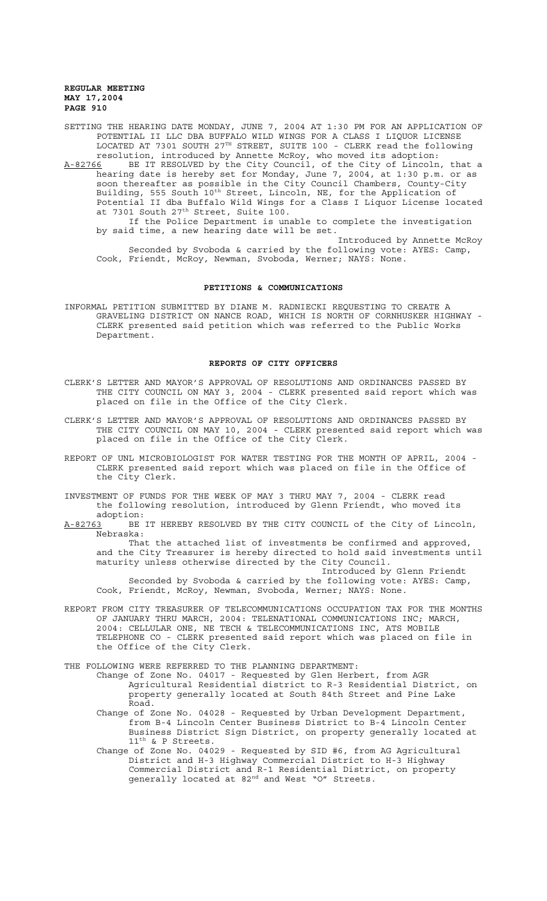SETTING THE HEARING DATE MONDAY, JUNE 7, 2004 AT 1:30 PM FOR AN APPLICATION OF POTENTIAL II LLC DBA BUFFALO WILD WINGS FOR A CLASS I LIQUOR LICENSE LOCATED AT 7301 SOUTH 27TH STREET, SUITE 100 - CLERK read the following resolution, introduced by Annette McRoy, who moved its adoption:

A-82766 BE IT RESOLVED by the City Council, of the City of Lincoln, that a hearing date is hereby set for Monday, June 7, 2004, at 1:30 p.m. or as soon thereafter as possible in the City Council Chambers, County-City Building, 555 South 10<sup>th</sup> Street, Lincoln, NE, for the Application of Potential II dba Buffalo Wild Wings for a Class I Liquor License located at 7301 South 27th Street, Suite 100.

If the Police Department is unable to complete the investigation by said time, a new hearing date will be set.

Introduced by Annette McRoy Seconded by Svoboda & carried by the following vote: AYES: Camp, Cook, Friendt, McRoy, Newman, Svoboda, Werner; NAYS: None.

#### **PETITIONS & COMMUNICATIONS**

INFORMAL PETITION SUBMITTED BY DIANE M. RADNIECKI REQUESTING TO CREATE A GRAVELING DISTRICT ON NANCE ROAD, WHICH IS NORTH OF CORNHUSKER HIGHWAY - CLERK presented said petition which was referred to the Public Works Department.

#### **REPORTS OF CITY OFFICERS**

- CLERK'S LETTER AND MAYOR'S APPROVAL OF RESOLUTIONS AND ORDINANCES PASSED BY THE CITY COUNCIL ON MAY 3, 2004 - CLERK presented said report which was placed on file in the Office of the City Clerk.
- CLERK'S LETTER AND MAYOR'S APPROVAL OF RESOLUTIONS AND ORDINANCES PASSED BY THE CITY COUNCIL ON MAY 10, 2004 - CLERK presented said report which was placed on file in the Office of the City Clerk.
- REPORT OF UNL MICROBIOLOGIST FOR WATER TESTING FOR THE MONTH OF APRIL, 2004 CLERK presented said report which was placed on file in the Office of the City Clerk.
- INVESTMENT OF FUNDS FOR THE WEEK OF MAY 3 THRU MAY 7, 2004 CLERK read the following resolution, introduced by Glenn Friendt, who moved its adoption:
- A-82763 BE IT HEREBY RESOLVED BY THE CITY COUNCIL of the City of Lincoln, Nebraska:

That the attached list of investments be confirmed and approved, and the City Treasurer is hereby directed to hold said investments until maturity unless otherwise directed by the City Council.

Introduced by Glenn Friendt Seconded by Svoboda & carried by the following vote: AYES: Camp, Cook, Friendt, McRoy, Newman, Svoboda, Werner; NAYS: None.

REPORT FROM CITY TREASURER OF TELECOMMUNICATIONS OCCUPATION TAX FOR THE MONTHS OF JANUARY THRU MARCH, 2004: TELENATIONAL COMMUNICATIONS INC; MARCH, 2004: CELLULAR ONE, NE TECH & TELECOMMUNICATIONS INC, ATS MOBILE TELEPHONE CO - CLERK presented said report which was placed on file in the Office of the City Clerk.

THE FOLLOWING WERE REFERRED TO THE PLANNING DEPARTMENT:

- Change of Zone No. 04017 Requested by Glen Herbert, from AGR Agricultural Residential district to R-3 Residential District, on property generally located at South 84th Street and Pine Lake Road.
	- Change of Zone No. 04028 Requested by Urban Development Department, from B-4 Lincoln Center Business District to B-4 Lincoln Center Business District Sign District, on property generally located at 11th & P Streets.
	- Change of Zone No. 04029 Requested by SID #6, from AG Agricultural District and H-3 Highway Commercial District to H-3 Highway Commercial District and R-1 Residential District, on property generally located at 82<sup>nd</sup> and West "O" Streets.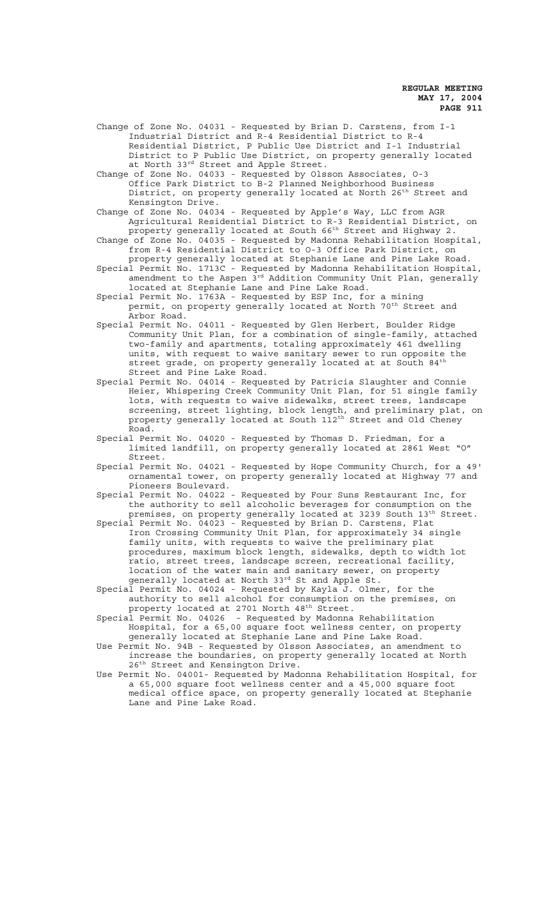- Change of Zone No. 04031 Requested by Brian D. Carstens, from I-1 Industrial District and R-4 Residential District to R-4 Residential District, P Public Use District and I-1 Industrial District to P Public Use District, on property generally located at North 33rd Street and Apple Street.
- Change of Zone No. 04033 Requested by Olsson Associates, O-3 Office Park District to B-2 Planned Neighborhood Business District, on property generally located at North 26<sup>th</sup> Street and Kensington Drive.
- Change of Zone No. 04034 Requested by Apple's Way, LLC from AGR Agricultural Residential District to R-3 Residential District, on property generally located at South 66th Street and Highway 2.
- Change of Zone No. 04035 Requested by Madonna Rehabilitation Hospital, from R-4 Residential District to O-3 Office Park District, on property generally located at Stephanie Lane and Pine Lake Road.
- Special Permit No. 1713C Requested by Madonna Rehabilitation Hospital, amendment to the Aspen 3<sup>rd</sup> Addition Community Unit Plan, generally located at Stephanie Lane and Pine Lake Road.
- Special Permit No. 1763A Requested by ESP Inc, for a mining permit, on property generally located at North 70<sup>th</sup> Street and Arbor Road.
- Special Permit No. 04011 Requested by Glen Herbert, Boulder Ridge Community Unit Plan, for a combination of single-family, attached two-family and apartments, totaling approximately 461 dwelling units, with request to waive sanitary sewer to run opposite the street grade, on property generally located at at South 84<sup>th</sup> Street and Pine Lake Road.
- Special Permit No. 04014 Requested by Patricia Slaughter and Connie Heier, Whispering Creek Community Unit Plan, for 51 single family lots, with requests to waive sidewalks, street trees, landscape screening, street lighting, block length, and preliminary plat, on property generally located at South 112<sup>th</sup> Street and Old Cheney Road.
- Special Permit No. 04020 Requested by Thomas D. Friedman, for a limited landfill, on property generally located at 2861 West "O" Street.
- Special Permit No. 04021 Requested by Hope Community Church, for a 49' ornamental tower, on property generally located at Highway 77 and Pioneers Boulevard.
- Special Permit No. 04022 Requested by Four Suns Restaurant Inc, for the authority to sell alcoholic beverages for consumption on the premises, on property generally located at 3239 South 13th Street.
- Special Permit No. 04023 Requested by Brian D. Carstens, Flat Iron Crossing Community Unit Plan, for approximately 34 single family units, with requests to waive the preliminary plat procedures, maximum block length, sidewalks, depth to width lot ratio, street trees, landscape screen, recreational facility, location of the water main and sanitary sewer, on property generally located at North 33rd St and Apple St.
- Special Permit No. 04024 Requested by Kayla J. Olmer, for the authority to sell alcohol for consumption on the premises, on property located at 2701 North 48<sup>th</sup> Street.
- Special Permit No. 04026 Requested by Madonna Rehabilitation Hospital, for a 65,00 square foot wellness center, on property generally located at Stephanie Lane and Pine Lake Road.
- Use Permit No. 94B Requested by Olsson Associates, an amendment to increase the boundaries, on property generally located at North 26<sup>th</sup> Street and Kensington Drive.
- Use Permit No. 04001- Requested by Madonna Rehabilitation Hospital, for a 65,000 square foot wellness center and a 45,000 square foot medical office space, on property generally located at Stephanie Lane and Pine Lake Road.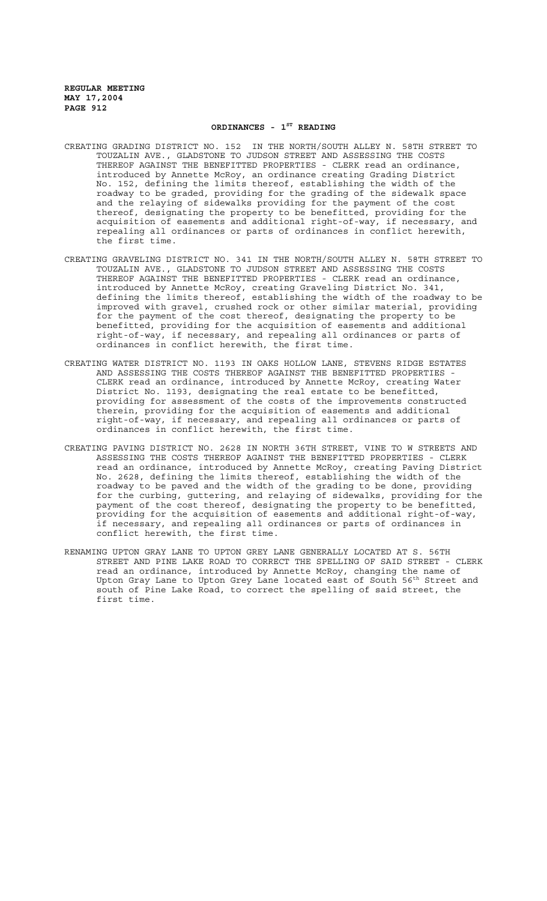#### ORDINANCES - 1<sup>ST</sup> READING

- CREATING GRADING DISTRICT NO. 152 IN THE NORTH/SOUTH ALLEY N. 58TH STREET TO TOUZALIN AVE., GLADSTONE TO JUDSON STREET AND ASSESSING THE COSTS THEREOF AGAINST THE BENEFITTED PROPERTIES - CLERK read an ordinance, introduced by Annette McRoy, an ordinance creating Grading District No. 152, defining the limits thereof, establishing the width of the roadway to be graded, providing for the grading of the sidewalk space and the relaying of sidewalks providing for the payment of the cost thereof, designating the property to be benefitted, providing for the acquisition of easements and additional right-of-way, if necessary, and repealing all ordinances or parts of ordinances in conflict herewith, the first time.
- CREATING GRAVELING DISTRICT NO. 341 IN THE NORTH/SOUTH ALLEY N. 58TH STREET TO TOUZALIN AVE., GLADSTONE TO JUDSON STREET AND ASSESSING THE COSTS THEREOF AGAINST THE BENEFITTED PROPERTIES - CLERK read an ordinance, introduced by Annette McRoy, creating Graveling District No. 341, defining the limits thereof, establishing the width of the roadway to be improved with gravel, crushed rock or other similar material, providing for the payment of the cost thereof, designating the property to be benefitted, providing for the acquisition of easements and additional right-of-way, if necessary, and repealing all ordinances or parts of ordinances in conflict herewith, the first time.
- CREATING WATER DISTRICT NO. 1193 IN OAKS HOLLOW LANE, STEVENS RIDGE ESTATES AND ASSESSING THE COSTS THEREOF AGAINST THE BENEFITTED PROPERTIES CLERK read an ordinance, introduced by Annette McRoy, creating Water District No. 1193, designating the real estate to be benefitted, providing for assessment of the costs of the improvements constructed therein, providing for the acquisition of easements and additional right-of-way, if necessary, and repealing all ordinances or parts of ordinances in conflict herewith, the first time.
- CREATING PAVING DISTRICT NO. 2628 IN NORTH 36TH STREET, VINE TO W STREETS AND ASSESSING THE COSTS THEREOF AGAINST THE BENEFITTED PROPERTIES - CLERK read an ordinance, introduced by Annette McRoy, creating Paving District No. 2628, defining the limits thereof, establishing the width of the roadway to be paved and the width of the grading to be done, providing for the curbing, guttering, and relaying of sidewalks, providing for the payment of the cost thereof, designating the property to be benefitted, providing for the acquisition of easements and additional right-of-way, if necessary, and repealing all ordinances or parts of ordinances in conflict herewith, the first time.
- RENAMING UPTON GRAY LANE TO UPTON GREY LANE GENERALLY LOCATED AT S. 56TH STREET AND PINE LAKE ROAD TO CORRECT THE SPELLING OF SAID STREET - CLERK read an ordinance, introduced by Annette McRoy, changing the name of Upton Gray Lane to Upton Grey Lane located east of South 56<sup>th</sup> Street and south of Pine Lake Road, to correct the spelling of said street, the first time.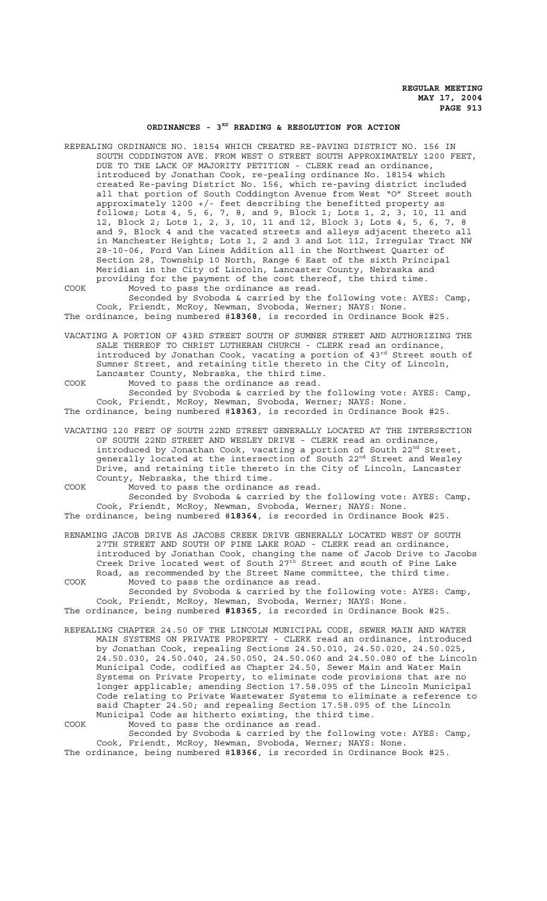## ORDINANCES - 3<sup>RD</sup> READING & RESOLUTION FOR ACTION

REPEALING ORDINANCE NO. 18154 WHICH CREATED RE-PAVING DISTRICT NO. 156 IN SOUTH CODDINGTON AVE. FROM WEST O STREET SOUTH APPROXIMATELY 1200 FEET, DUE TO THE LACK OF MAJORITY PETITION - CLERK read an ordinance, introduced by Jonathan Cook, re-pealing ordinance No. 18154 which created Re-paving District No. 156, which re-paving district included all that portion of South Coddington Avenue from West "O" Street south approximately 1200 +/- feet describing the benefitted property as follows; Lots 4, 5, 6, 7, 8, and 9, Block 1; Lots 1, 2, 3, 10, 11 and 12, Block 2; Lots 1, 2, 3, 10, 11 and 12, Block 3; Lots 4, 5, 6, 7, 8 and 9, Block 4 and the vacated streets and alleys adjacent thereto all in Manchester Heights; Lots 1, 2 and 3 and Lot 112, Irregular Tract NW 28-10-06, Ford Van Lines Addition all in the Northwest Quarter of Section 28, Township 10 North, Range 6 East of the sixth Principal Meridian in the City of Lincoln, Lancaster County, Nebraska and providing for the payment of the cost thereof, the third time. COOK Moved to pass the ordinance as read.

Seconded by Svoboda & carried by the following vote: AYES: Camp, Cook, Friendt, McRoy, Newman, Svoboda, Werner; NAYS: None. The ordinance, being numbered #**18368**, is recorded in Ordinance Book #25.

VACATING A PORTION OF 43RD STREET SOUTH OF SUMNER STREET AND AUTHORIZING THE SALE THEREOF TO CHRIST LUTHERAN CHURCH - CLERK read an ordinance, introduced by Jonathan Cook, vacating a portion of 43rd Street south of Sumner Street, and retaining title thereto in the City of Lincoln, Lancaster County, Nebraska, the third time.

COOK Moved to pass the ordinance as read.

Seconded by Svoboda & carried by the following vote: AYES: Camp, Cook, Friendt, McRoy, Newman, Svoboda, Werner; NAYS: None. The ordinance, being numbered #**18363**, is recorded in Ordinance Book #25.

VACATING 120 FEET OF SOUTH 22ND STREET GENERALLY LOCATED AT THE INTERSECTION OF SOUTH 22ND STREET AND WESLEY DRIVE - CLERK read an ordinance, introduced by Jonathan Cook, vacating a portion of South  $22<sup>nd</sup>$  Street, generally located at the intersection of South 22<sup>nd</sup> Street and Wesley Drive, and retaining title thereto in the City of Lincoln, Lancaster County, Nebraska, the third time.

COOK Moved to pass the ordinance as read. Seconded by Svoboda & carried by the following vote: AYES: Camp, Cook, Friendt, McRoy, Newman, Svoboda, Werner; NAYS: None.

The ordinance, being numbered #**18364**, is recorded in Ordinance Book #25.

RENAMING JACOB DRIVE AS JACOBS CREEK DRIVE GENERALLY LOCATED WEST OF SOUTH 27TH STREET AND SOUTH OF PINE LAKE ROAD - CLERK read an ordinance, introduced by Jonathan Cook, changing the name of Jacob Drive to Jacobs Creek Drive located west of South 27<sup>th</sup> Street and south of Pine Lake Road, as recommended by the Street Name committee, the third time.

COOK Moved to pass the ordinance as read. Seconded by Svoboda & carried by the following vote: AYES: Camp, Cook, Friendt, McRoy, Newman, Svoboda, Werner; NAYS: None. The ordinance, being numbered **#18365**, is recorded in Ordinance Book #25.

REPEALING CHAPTER 24.50 OF THE LINCOLN MUNICIPAL CODE, SEWER MAIN AND WATER MAIN SYSTEMS ON PRIVATE PROPERTY - CLERK read an ordinance, introduced by Jonathan Cook, repealing Sections 24.50.010, 24.50.020, 24.50.025, 24.50.030, 24.50.040, 24.50.050, 24.50.060 and 24.50.080 of the Lincoln Municipal Code, codified as Chapter 24.50, Sewer Main and Water Main Systems on Private Property, to eliminate code provisions that are no longer applicable; amending Section 17.58.095 of the Lincoln Municipal Code relating to Private Wastewater Systems to eliminate a reference to said Chapter 24.50; and repealing Section 17.58.095 of the Lincoln Municipal Code as hitherto existing, the third time.

COOK Moved to pass the ordinance as read. Seconded by Svoboda & carried by the following vote: AYES: Camp, Cook, Friendt, McRoy, Newman, Svoboda, Werner; NAYS: None. The ordinance, being numbered #**18366**, is recorded in Ordinance Book #25.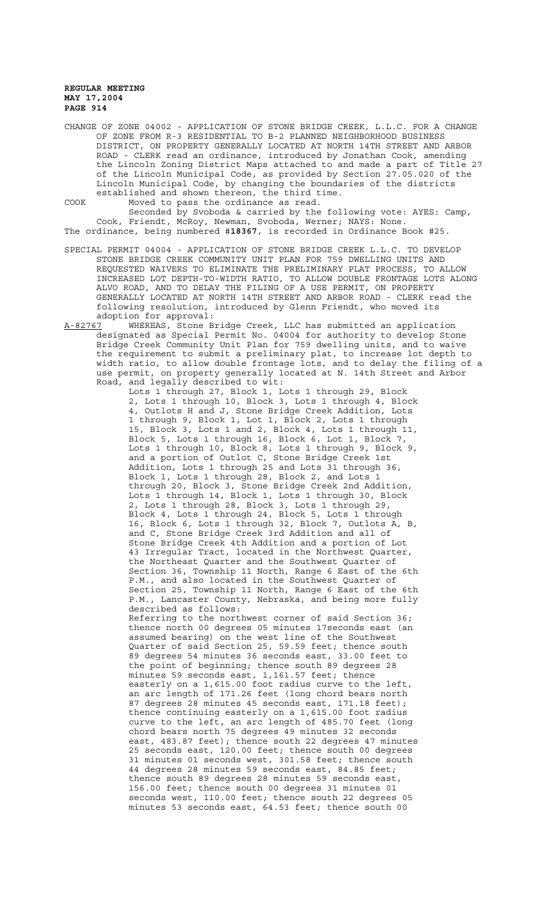CHANGE OF ZONE 04002 - APPLICATION OF STONE BRIDGE CREEK, L.L.C. FOR A CHANGE OF ZONE FROM R-3 RESIDENTIAL TO B-2 PLANNED NEIGHBORHOOD BUSINESS DISTRICT, ON PROPERTY GENERALLY LOCATED AT NORTH 14TH STREET AND ARBOR ROAD - CLERK read an ordinance, introduced by Jonathan Cook, amending the Lincoln Zoning District Maps attached to and made a part of Title 27 of the Lincoln Municipal Code, as provided by Section 27.05.020 of the Lincoln Municipal Code, by changing the boundaries of the districts established and shown thereon, the third time.

COOK Moved to pass the ordinance as read.

Seconded by Svoboda & carried by the following vote: AYES: Camp, Cook, Friendt, McRoy, Newman, Svoboda, Werner; NAYS: None. The ordinance, being numbered #**18367**, is recorded in Ordinance Book #25.

- SPECIAL PERMIT 04004 APPLICATION OF STONE BRIDGE CREEK L.L.C. TO DEVELOP STONE BRIDGE CREEK COMMUNITY UNIT PLAN FOR 759 DWELLING UNITS AND REQUESTED WAIVERS TO ELIMINATE THE PRELIMINARY PLAT PROCESS, TO ALLOW INCREASED LOT DEPTH-TO-WIDTH RATIO, TO ALLOW DOUBLE FRONTAGE LOTS ALONG ALVO ROAD, AND TO DELAY THE FILING OF A USE PERMIT, ON PROPERTY GENERALLY LOCATED AT NORTH 14TH STREET AND ARBOR ROAD - CLERK read the following resolution, introduced by Glenn Friendt, who moved its adoption for approval:
- A-82767 WHEREAS, Stone Bridge Creek, LLC has submitted an application designated as Special Permit No. 04004 for authority to develop Stone Bridge Creek Community Unit Plan for 759 dwelling units, and to waive the requirement to submit a preliminary plat, to increase lot depth to width ratio, to allow double frontage lots, and to delay the filing of a use permit, on property generally located at N. 14th Street and Arbor Road, and legally described to wit:

Lots 1 through 27, Block 1, Lots 1 through 29, Block 2, Lots 1 through 10, Block 3, Lots 1 through 4, Block 4, Outlots H and J, Stone Bridge Creek Addition, Lots 1 through 9, Block 1, Lot 1, Block 2, Lots 1 through 15, Block 3, Lots 1 and 2, Block 4, Lots 1 through 11, Block 5, Lots 1 through 16, Block 6, Lot 1, Block 7, Lots 1 through 10, Block 8, Lots 1 through 9, Block 9, and a portion of Outlot C, Stone Bridge Creek 1st Addition, Lots 1 through 25 and Lots 31 through 36, Block 1, Lots 1 through 28, Block 2, and Lots 1 through 20, Block 3, Stone Bridge Creek 2nd Addition, Lots 1 through 14, Block 1, Lots 1 through 30, Block 2, Lots 1 through 28, Block 3, Lots 1 through 29, Block 4, Lots 1 through 24, Block 5, Lots 1 through 16, Block 6, Lots 1 through 32, Block 7, Outlots A, B, and C, Stone Bridge Creek 3rd Addition and all of Stone Bridge Creek 4th Addition and a portion of Lot 43 Irregular Tract, located in the Northwest Quarter, the Northeast Quarter and the Southwest Quarter of Section 36, Township 11 North, Range 6 East of the 6th P.M., and also located in the Southwest Quarter of Section 25, Township 11 North, Range 6 East of the 6th P.M., Lancaster County, Nebraska, and being more fully described as follows:

Referring to the northwest corner of said Section 36; thence north 00 degrees 05 minutes 17seconds east (an assumed bearing) on the west line of the Southwest Quarter of said Section 25, 59.59 feet; thence south 89 degrees 54 minutes 36 seconds east, 33.00 feet to the point of beginning; thence south 89 degrees 28 minutes 59 seconds east, 1,161.57 feet; thence easterly on a 1,615.00 foot radius curve to the left, an arc length of 171.26 feet (long chord bears north 87 degrees 28 minutes 45 seconds east, 171.18 feet); thence continuing easterly on a 1,615.00 foot radius curve to the left, an arc length of 485.70 feet (long chord bears north 75 degrees 49 minutes 32 seconds east, 483.87 feet); thence south 22 degrees 47 minutes 25 seconds east, 120.00 feet; thence south 00 degrees 31 minutes 01 seconds west, 301.58 feet; thence south 44 degrees 28 minutes 59 seconds east, 84.85 feet; thence south 89 degrees 28 minutes 59 seconds east, 156.00 feet; thence south 00 degrees 31 minutes 01 seconds west, 110.00 feet; thence south 22 degrees 05 minutes 53 seconds east, 64.53 feet; thence south 00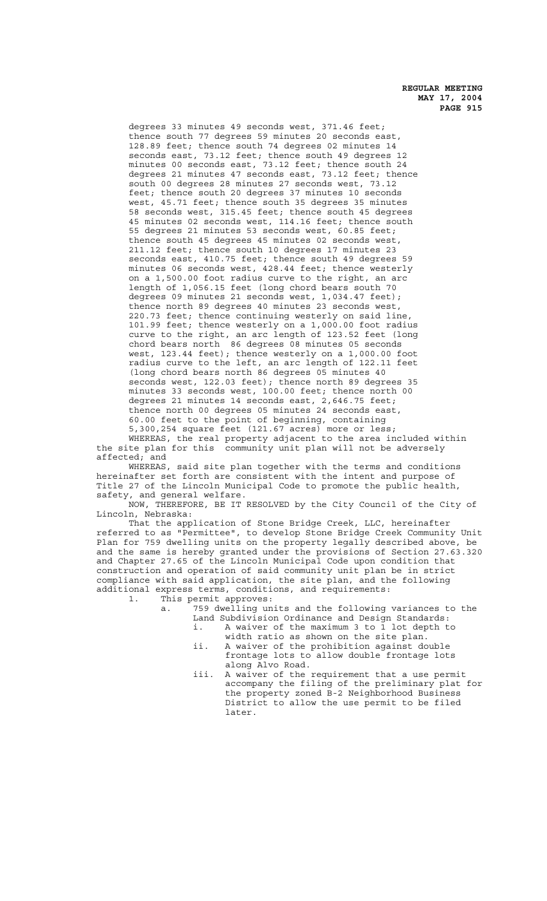degrees 33 minutes 49 seconds west, 371.46 feet; thence south 77 degrees 59 minutes 20 seconds east, 128.89 feet; thence south 74 degrees 02 minutes 14 seconds east, 73.12 feet; thence south 49 degrees 12 minutes 00 seconds east, 73.12 feet; thence south 24 degrees 21 minutes 47 seconds east, 73.12 feet; thence south 00 degrees 28 minutes 27 seconds west, 73.12 feet; thence south 20 degrees 37 minutes 10 seconds west, 45.71 feet; thence south 35 degrees 35 minutes 58 seconds west, 315.45 feet; thence south 45 degrees 45 minutes 02 seconds west, 114.16 feet; thence south 55 degrees 21 minutes 53 seconds west, 60.85 feet; thence south 45 degrees 45 minutes 02 seconds west, 211.12 feet; thence south 10 degrees 17 minutes 23 seconds east, 410.75 feet; thence south 49 degrees 59 minutes 06 seconds west, 428.44 feet; thence westerly on a 1,500.00 foot radius curve to the right, an arc length of 1,056.15 feet (long chord bears south 70 degrees 09 minutes 21 seconds west, 1,034.47 feet); thence north 89 degrees 40 minutes 23 seconds west, 220.73 feet; thence continuing westerly on said line, 101.99 feet; thence westerly on a 1,000.00 foot radius curve to the right, an arc length of 123.52 feet (long chord bears north 86 degrees 08 minutes 05 seconds west, 123.44 feet); thence westerly on a 1,000.00 foot radius curve to the left, an arc length of 122.11 feet (long chord bears north 86 degrees 05 minutes 40 seconds west, 122.03 feet); thence north 89 degrees 35 minutes 33 seconds west, 100.00 feet; thence north 00 degrees 21 minutes 14 seconds east, 2,646.75 feet; thence north 00 degrees 05 minutes 24 seconds east, 60.00 feet to the point of beginning, containing 5,300,254 square feet (121.67 acres) more or less; WHEREAS, the real property adjacent to the area included within

the site plan for this community unit plan will not be adversely affected; and

WHEREAS, said site plan together with the terms and conditions hereinafter set forth are consistent with the intent and purpose of Title 27 of the Lincoln Municipal Code to promote the public health, safety, and general welfare.

NOW, THEREFORE, BE IT RESOLVED by the City Council of the City of Lincoln, Nebraska:

That the application of Stone Bridge Creek, LLC, hereinafter referred to as "Permittee", to develop Stone Bridge Creek Community Unit Plan for 759 dwelling units on the property legally described above, be and the same is hereby granted under the provisions of Section 27.63.320 and Chapter 27.65 of the Lincoln Municipal Code upon condition that construction and operation of said community unit plan be in strict compliance with said application, the site plan, and the following additional express terms, conditions, and requirements:

1. This permit approves:

- a. 759 dwelling units and the following variances to the Land Subdivision Ordinance and Design Standards:
	- i. A waiver of the maximum 3 to 1 lot depth to width ratio as shown on the site plan.
	- ii. A waiver of the prohibition against double frontage lots to allow double frontage lots along Alvo Road.
	- iii. A waiver of the requirement that a use permit accompany the filing of the preliminary plat for the property zoned B-2 Neighborhood Business District to allow the use permit to be filed later.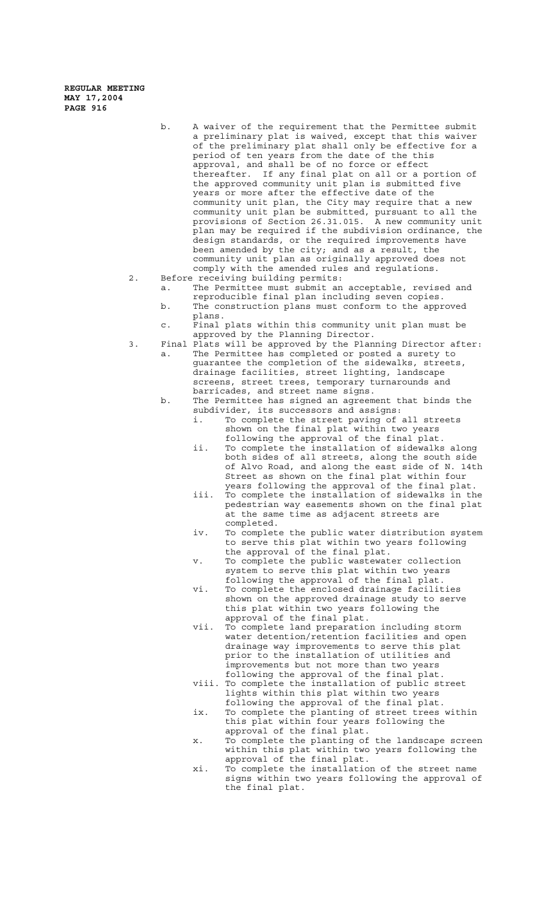- b. A waiver of the requirement that the Permittee submit a preliminary plat is waived, except that this waiver of the preliminary plat shall only be effective for a period of ten years from the date of the this approval, and shall be of no force or effect thereafter. If any final plat on all or a portion of the approved community unit plan is submitted five years or more after the effective date of the community unit plan, the City may require that a new community unit plan be submitted, pursuant to all the provisions of Section 26.31.015. A new community unit plan may be required if the subdivision ordinance, the design standards, or the required improvements have been amended by the city; and as a result, the community unit plan as originally approved does not comply with the amended rules and regulations.
- 2. Before receiving building permits:
	- a. The Permittee must submit an acceptable, revised and reproducible final plan including seven copies. b. The construction plans must conform to the approved
		- plans. c. Final plats within this community unit plan must be approved by the Planning Director.
- 3. Final Plats will be approved by the Planning Director after: a. The Permittee has completed or posted a surety to guarantee the completion of the sidewalks, streets, drainage facilities, street lighting, landscape screens, street trees, temporary turnarounds and barricades, and street name signs.

# b. The Permittee has signed an agreement that binds the subdivider, its successors and assigns:

- i. To complete the street paving of all streets shown on the final plat within two years following the approval of the final plat.
- ii. To complete the installation of sidewalks along both sides of all streets, along the south side of Alvo Road, and along the east side of N. 14th Street as shown on the final plat within four years following the approval of the final plat.
- iii. To complete the installation of sidewalks in the pedestrian way easements shown on the final plat at the same time as adjacent streets are completed.
- iv. To complete the public water distribution system to serve this plat within two years following the approval of the final plat.
- v. To complete the public wastewater collection system to serve this plat within two years following the approval of the final plat.
- vi. To complete the enclosed drainage facilities shown on the approved drainage study to serve this plat within two years following the approval of the final plat.
- vii. To complete land preparation including storm water detention/retention facilities and open drainage way improvements to serve this plat prior to the installation of utilities and improvements but not more than two years following the approval of the final plat.
- viii. To complete the installation of public street lights within this plat within two years following the approval of the final plat.
- ix. To complete the planting of street trees within this plat within four years following the approval of the final plat.
- x. To complete the planting of the landscape screen within this plat within two years following the approval of the final plat.
- xi. To complete the installation of the street name signs within two years following the approval of the final plat.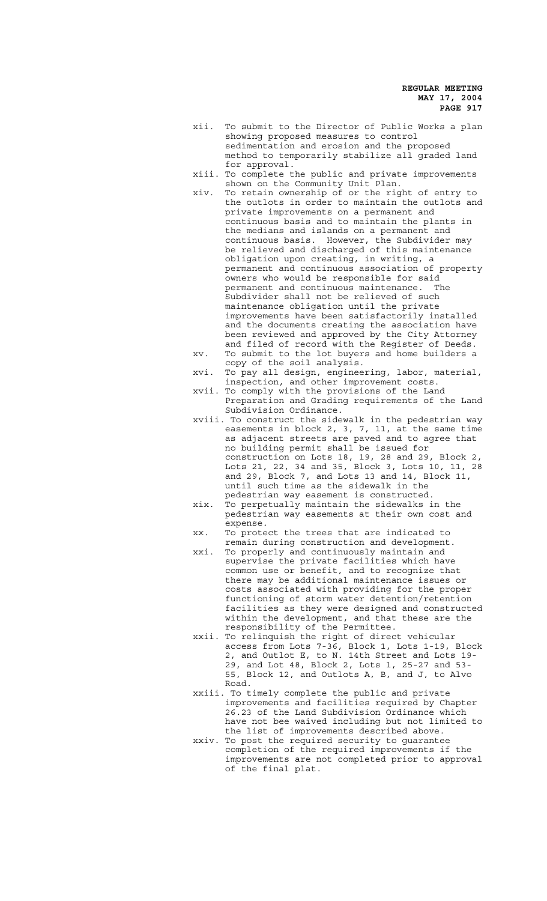- xii. To submit to the Director of Public Works a plan showing proposed measures to control sedimentation and erosion and the proposed method to temporarily stabilize all graded land for approval.
- xiii. To complete the public and private improvements shown on the Community Unit Plan.
- xiv. To retain ownership of or the right of entry to the outlots in order to maintain the outlots and private improvements on a permanent and continuous basis and to maintain the plants in the medians and islands on a permanent and continuous basis. However, the Subdivider may be relieved and discharged of this maintenance obligation upon creating, in writing, a permanent and continuous association of property owners who would be responsible for said permanent and continuous maintenance. The Subdivider shall not be relieved of such maintenance obligation until the private improvements have been satisfactorily installed and the documents creating the association have been reviewed and approved by the City Attorney and filed of record with the Register of Deeds. xv. To submit to the lot buyers and home builders a
- copy of the soil analysis.
- xvi. To pay all design, engineering, labor, material, inspection, and other improvement costs.
- xvii. To comply with the provisions of the Land Preparation and Grading requirements of the Land Subdivision Ordinance.
- xviii. To construct the sidewalk in the pedestrian way easements in block 2, 3, 7, 11, at the same time as adjacent streets are paved and to agree that no building permit shall be issued for construction on Lots 18, 19, 28 and 29, Block 2, Lots 21, 22, 34 and 35, Block 3, Lots 10, 11, 28 and 29, Block 7, and Lots 13 and 14, Block 11, until such time as the sidewalk in the pedestrian way easement is constructed.
- xix. To perpetually maintain the sidewalks in the pedestrian way easements at their own cost and expense.
- xx. To protect the trees that are indicated to remain during construction and development.
- xxi. To properly and continuously maintain and supervise the private facilities which have common use or benefit, and to recognize that there may be additional maintenance issues or costs associated with providing for the proper functioning of storm water detention/retention facilities as they were designed and constructed within the development, and that these are the responsibility of the Permittee.
- xxii. To relinquish the right of direct vehicular access from Lots 7-36, Block 1, Lots 1-19, Block 2, and Outlot E, to N. 14th Street and Lots 19- 29, and Lot 48, Block 2, Lots 1, 25-27 and 53- 55, Block 12, and Outlots A, B, and J, to Alvo Road.
- xxiii. To timely complete the public and private improvements and facilities required by Chapter 26.23 of the Land Subdivision Ordinance which have not bee waived including but not limited to the list of improvements described above.
- xxiv. To post the required security to guarantee completion of the required improvements if the improvements are not completed prior to approval of the final plat.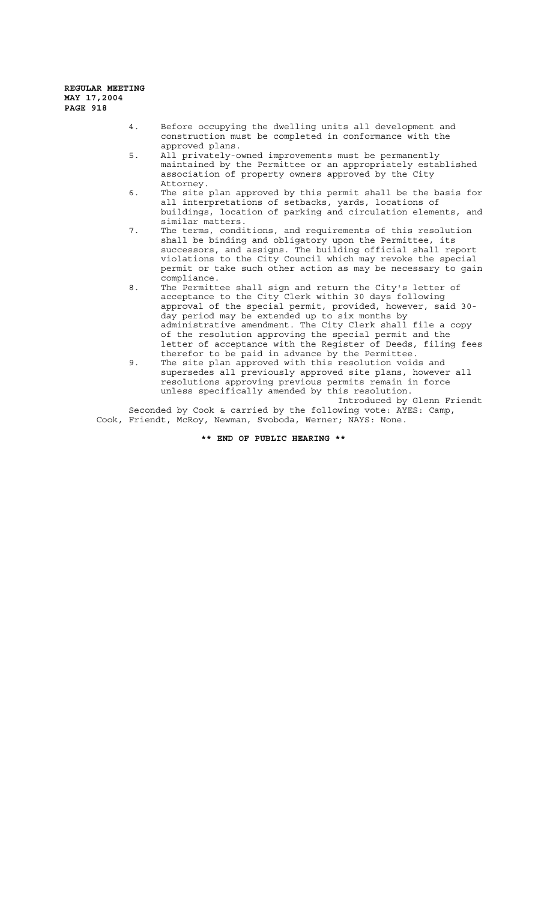- 4. Before occupying the dwelling units all development and construction must be completed in conformance with the approved plans.
- 5. All privately-owned improvements must be permanently maintained by the Permittee or an appropriately established association of property owners approved by the City Attorney.
- 6. The site plan approved by this permit shall be the basis for all interpretations of setbacks, yards, locations of buildings, location of parking and circulation elements, and similar matters.
- 7. The terms, conditions, and requirements of this resolution shall be binding and obligatory upon the Permittee, its successors, and assigns. The building official shall report violations to the City Council which may revoke the special permit or take such other action as may be necessary to gain compliance.
- 8. The Permittee shall sign and return the City's letter of acceptance to the City Clerk within 30 days following approval of the special permit, provided, however, said 30 day period may be extended up to six months by day period may be encember of the City Clerk shall file a copy of the resolution approving the special permit and the letter of acceptance with the Register of Deeds, filing fees therefor to be paid in advance by the Permittee.
- 9. The site plan approved with this resolution voids and supersedes all previously approved site plans, however all resolutions approving previous permits remain in force unless specifically amended by this resolution. Introduced by Glenn Friendt

Seconded by Cook & carried by the following vote: AYES: Camp, Cook, Friendt, McRoy, Newman, Svoboda, Werner; NAYS: None.

**\*\* END OF PUBLIC HEARING \*\***